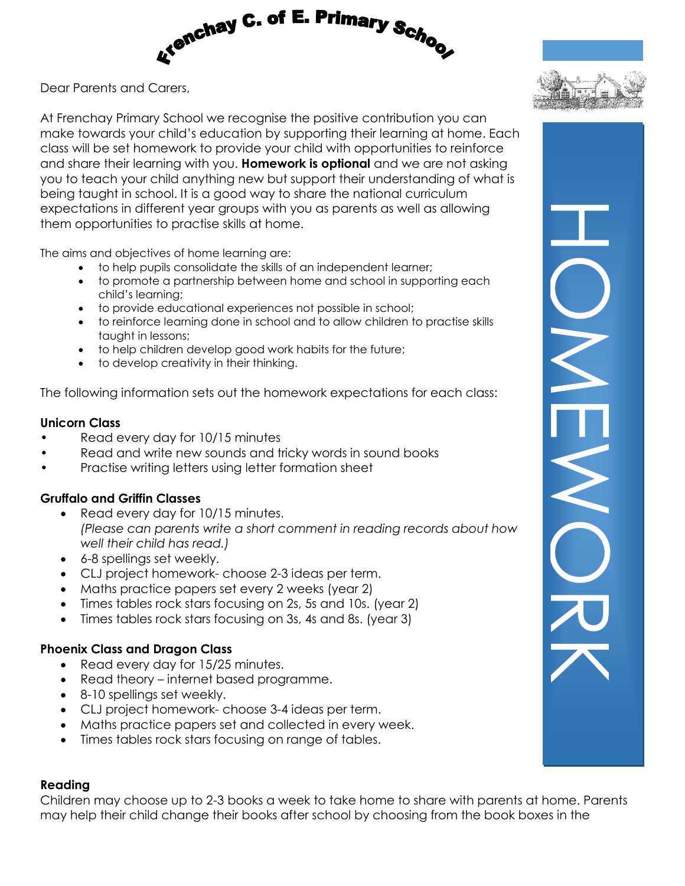

Dear Parents and Carers,

At Frenchay Primary School we recognise the positive contribution you can make towards your child's education by supporting their learning at home. Each class will be set homework to provide your child with opportunities to reinforce and share their learning with you. **Homework is optional** and we are not asking you to teach your child anything new but support their understanding of what is being taught in school. It is a good way to share the national curriculum expectations in different year groups with you as parents as well as allowing them opportunities to practise skills at home.

The aims and objectives of home learning are:

- to help pupils consolidate the skills of an independent learner;
- to promote a partnership between home and school in supporting each child's learning;
- to provide educational experiences not possible in school;
- to reinforce learning done in school and to allow children to practise skills taught in lessons;
- to help children develop good work habits for the future;
- to develop creativity in their thinking.

The following information sets out the homework expectations for each class:

### **Unicorn Class**

- Read every day for 10/15 minutes
- Read and write new sounds and tricky words in sound books
- Practise writing letters using letter formation sheet

### **Gruffalo and Griffin Classes**

- Read every day for 10/15 minutes. *(Please can parents write a short comment in reading records about how well their child has read.)*
- 6-8 spellings set weekly.
- CLJ project homework- choose 2-3 ideas per term.
- Maths practice papers set every 2 weeks (year 2)
- Times tables rock stars focusing on 2s, 5s and 10s. (year 2)
- Times tables rock stars focusing on 3s, 4s and 8s. (year 3)

### **Phoenix Class and Dragon Class**

- Read every day for 15/25 minutes.
- Read theory internet based programme.
- 8-10 spellings set weekly.
- CLJ project homework- choose 3-4 ideas per term.
- Maths practice papers set and collected in every week.
- Times tables rock stars focusing on range of tables.

#### **Reading**

Children may choose up to 2-3 books a week to take home to share with parents at home. Parents may help their child change their books after school by choosing from the book boxes in the

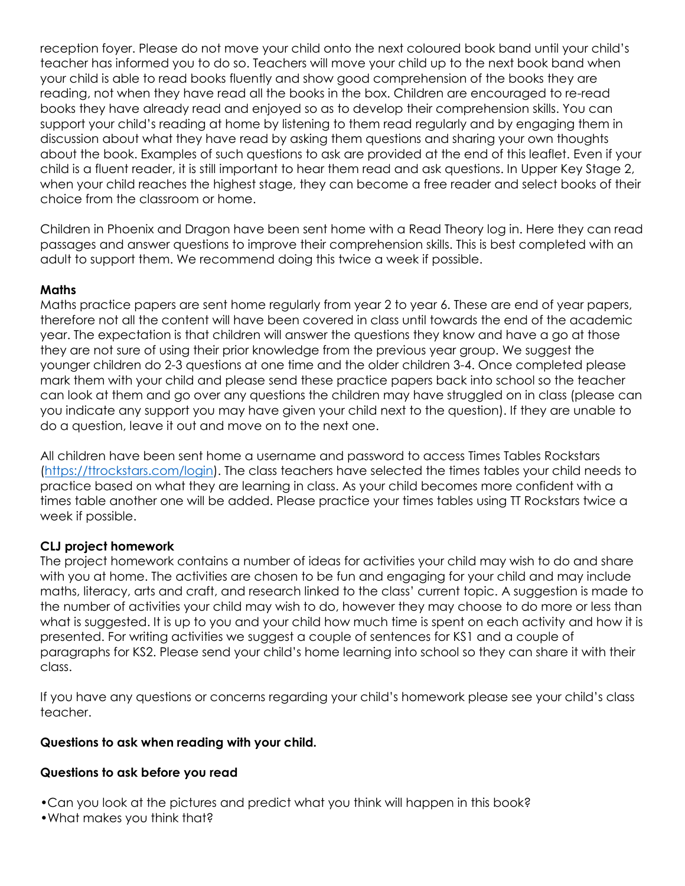reception foyer. Please do not move your child onto the next coloured book band until your child's teacher has informed you to do so. Teachers will move your child up to the next book band when your child is able to read books fluently and show good comprehension of the books they are reading, not when they have read all the books in the box. Children are encouraged to re-read books they have already read and enjoyed so as to develop their comprehension skills. You can support your child's reading at home by listening to them read regularly and by engaging them in discussion about what they have read by asking them questions and sharing your own thoughts about the book. Examples of such questions to ask are provided at the end of this leaflet. Even if your child is a fluent reader, it is still important to hear them read and ask questions. In Upper Key Stage 2, when your child reaches the highest stage, they can become a free reader and select books of their choice from the classroom or home.

Children in Phoenix and Dragon have been sent home with a Read Theory log in. Here they can read passages and answer questions to improve their comprehension skills. This is best completed with an adult to support them. We recommend doing this twice a week if possible.

#### **Maths**

Maths practice papers are sent home regularly from year 2 to year 6. These are end of year papers, therefore not all the content will have been covered in class until towards the end of the academic year. The expectation is that children will answer the questions they know and have a go at those they are not sure of using their prior knowledge from the previous year group. We suggest the younger children do 2-3 questions at one time and the older children 3-4. Once completed please mark them with your child and please send these practice papers back into school so the teacher can look at them and go over any questions the children may have struggled on in class (please can you indicate any support you may have given your child next to the question). If they are unable to do a question, leave it out and move on to the next one.

All children have been sent home a username and password to access Times Tables Rockstars [\(https://ttrockstars.com/login\)](https://ttrockstars.com/login). The class teachers have selected the times tables your child needs to practice based on what they are learning in class. As your child becomes more confident with a times table another one will be added. Please practice your times tables using TT Rockstars twice a week if possible.

### **CLJ project homework**

The project homework contains a number of ideas for activities your child may wish to do and share with you at home. The activities are chosen to be fun and engaging for your child and may include maths, literacy, arts and craft, and research linked to the class' current topic. A suggestion is made to the number of activities your child may wish to do, however they may choose to do more or less than what is suggested. It is up to you and your child how much time is spent on each activity and how it is presented. For writing activities we suggest a couple of sentences for KS1 and a couple of paragraphs for KS2. Please send your child's home learning into school so they can share it with their class.

If you have any questions or concerns regarding your child's homework please see your child's class teacher.

#### **Questions to ask when reading with your child.**

#### **Questions to ask before you read**

•Can you look at the pictures and predict what you think will happen in this book?

•What makes you think that?